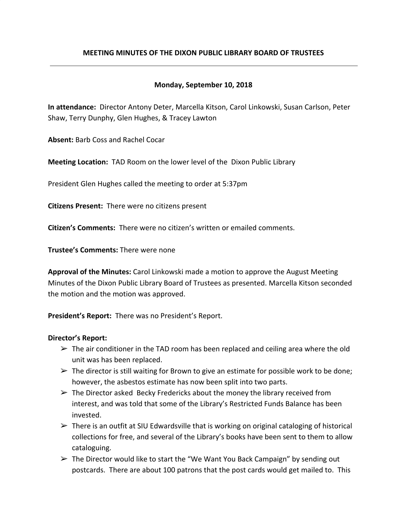# **MEETING MINUTES OF THE DIXON PUBLIC LIBRARY BOARD OF TRUSTEES**

## **Monday, September 10, 2018**

**In attendance:** Director Antony Deter, Marcella Kitson, Carol Linkowski, Susan Carlson, Peter Shaw, Terry Dunphy, Glen Hughes, & Tracey Lawton

**Absent:** Barb Coss and Rachel Cocar

**Meeting Location:** TAD Room on the lower level of the Dixon Public Library

President Glen Hughes called the meeting to order at 5:37pm

**Citizens Present:** There were no citizens present

**Citizen's Comments:** There were no citizen's written or emailed comments.

**Trustee's Comments:** There were none

**Approval of the Minutes:** Carol Linkowski made a motion to approve the August Meeting Minutes of the Dixon Public Library Board of Trustees as presented. Marcella Kitson seconded the motion and the motion was approved.

**President's Report:** There was no President's Report.

### **Director's Report:**

- $\triangleright$  The air conditioner in the TAD room has been replaced and ceiling area where the old unit was has been replaced.
- $\triangleright$  The director is still waiting for Brown to give an estimate for possible work to be done; however, the asbestos estimate has now been split into two parts.
- $\triangleright$  The Director asked Becky Fredericks about the money the library received from interest, and was told that some of the Library's Restricted Funds Balance has been invested.
- $\triangleright$  There is an outfit at SIU Edwardsville that is working on original cataloging of historical collections for free, and several of the Library's books have been sent to them to allow cataloguing.
- $\triangleright$  The Director would like to start the "We Want You Back Campaign" by sending out postcards. There are about 100 patrons that the post cards would get mailed to. This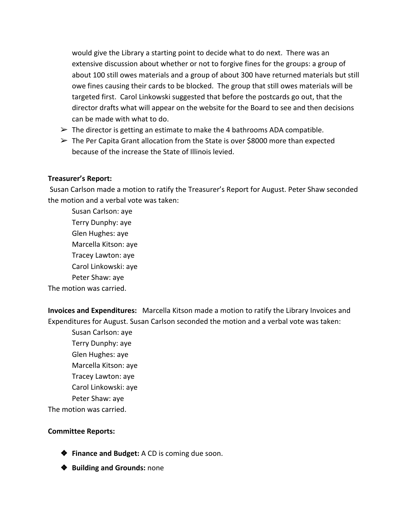would give the Library a starting point to decide what to do next. There was an extensive discussion about whether or not to forgive fines for the groups: a group of about 100 still owes materials and a group of about 300 have returned materials but still owe fines causing their cards to be blocked. The group that still owes materials will be targeted first. Carol Linkowski suggested that before the postcards go out, that the director drafts what will appear on the website for the Board to see and then decisions can be made with what to do.

- $\triangleright$  The director is getting an estimate to make the 4 bathrooms ADA compatible.
- $\triangleright$  The Per Capita Grant allocation from the State is over \$8000 more than expected because of the increase the State of Illinois levied.

# **Treasurer's Report:**

 Susan Carlson made a motion to ratify the Treasurer's Report for August. Peter Shaw seconded the motion and a verbal vote was taken:

Susan Carlson: aye Terry Dunphy: aye Glen Hughes: aye Marcella Kitson: aye Tracey Lawton: aye Carol Linkowski: aye Peter Shaw: aye The motion was carried.

**Invoices and Expenditures:** Marcella Kitson made a motion to ratify the Library Invoices and Expenditures for August. Susan Carlson seconded the motion and a verbal vote was taken:

Susan Carlson: aye Terry Dunphy: aye Glen Hughes: aye Marcella Kitson: aye Tracey Lawton: aye Carol Linkowski: aye Peter Shaw: aye The motion was carried.

### **Committee Reports:**

- ❖ **Finance and Budget:** A CD is coming due soon.
- ❖ **Building and Grounds:** none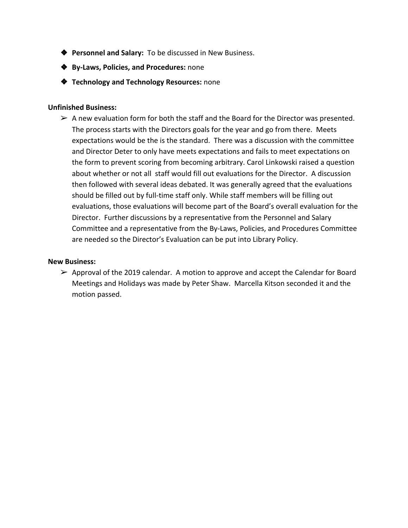- ❖ **Personnel and Salary:** To be discussed in New Business.
- ❖ **By-Laws, Policies, and Procedures:** none
- ❖ **Technology and Technology Resources:** none

#### **Unfinished Business:**

 $\triangleright$  A new evaluation form for both the staff and the Board for the Director was presented. The process starts with the Directors goals for the year and go from there. Meets expectations would be the is the standard. There was a discussion with the committee and Director Deter to only have meets expectations and fails to meet expectations on the form to prevent scoring from becoming arbitrary. Carol Linkowski raised a question about whether or not all staff would fill out evaluations for the Director. A discussion then followed with several ideas debated. It was generally agreed that the evaluations should be filled out by full-time staff only. While staff members will be filling out evaluations, those evaluations will become part of the Board's overall evaluation for the Director. Further discussions by a representative from the Personnel and Salary Committee and a representative from the By-Laws, Policies, and Procedures Committee are needed so the Director's Evaluation can be put into Library Policy.

#### **New Business:**

 $\triangleright$  Approval of the 2019 calendar. A motion to approve and accept the Calendar for Board Meetings and Holidays was made by Peter Shaw. Marcella Kitson seconded it and the motion passed.